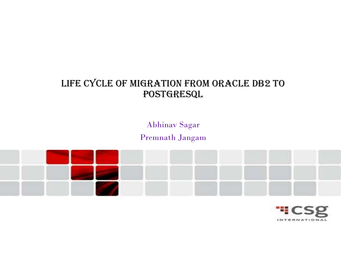#### LIFE CYCLE OF MIGRATION FROM ORACLE DB2 TO POSTGRESQL

Abhinav Sagar

Premnath Jangam



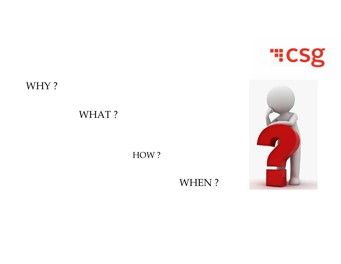



#### WHAT ?

HOW ?

WHEN ?

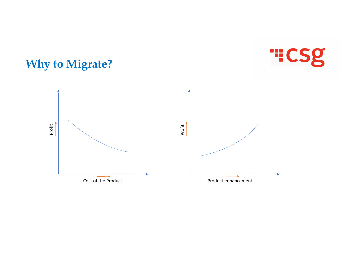

# Profit Profit $\ddot{\phantom{1}}$ Cost of the ProductProduct enhancement

### **Why to Migrate?**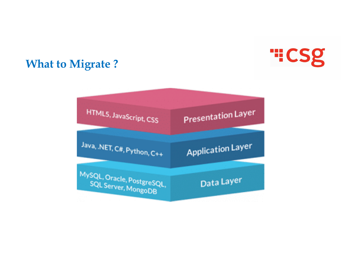

#### **What to Migrate ?**

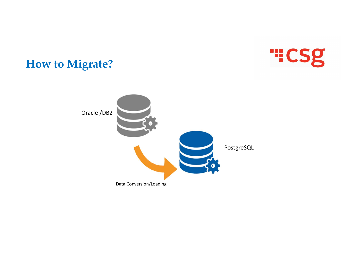

#### **How to Migrate?**

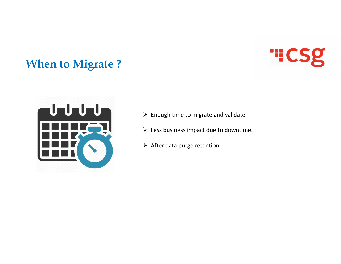### **When to Migrate ?**





- $\triangleright$  Enough time to migrate and validate
- $\triangleright$  Less business impact due to downtime.
- $\triangleright$  After data purge retention.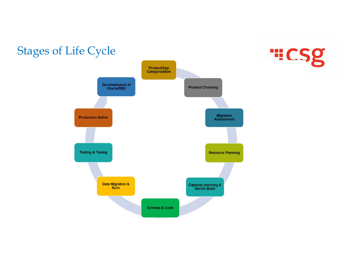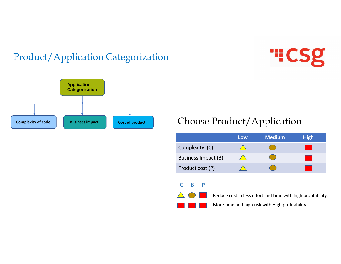#### Product/Application Categorization



#### Choose Product/Application

| Low | Medium | <b>High</b> |
|-----|--------|-------------|
|     |        |             |
|     |        |             |
|     |        |             |
|     |        |             |

**C B P**



Reduce cost in less effort and time with high profitability.

"ICS

More time and high risk with High profitability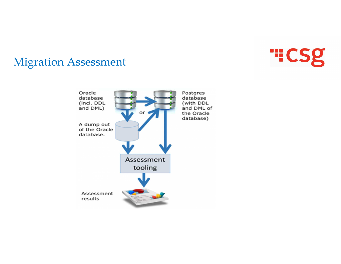#### Migration Assessment



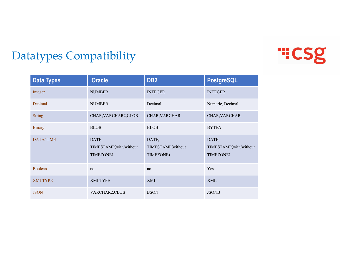

## Datatypes Compatibility

| <b>Data Types</b> | <b>Oracle</b>                                | DB <sub>2</sub>                         | <b>PostgreSQL</b>                            |
|-------------------|----------------------------------------------|-----------------------------------------|----------------------------------------------|
| Integer           | <b>NUMBER</b>                                | <b>INTEGER</b>                          | <b>INTEGER</b>                               |
| Decimal           | <b>NUMBER</b>                                | Decimal                                 | Numeric, Decimal                             |
| <b>String</b>     | CHAR, VARCHAR2, CLOB                         | CHAR, VARCHAR                           | CHAR, VARCHAR                                |
| <b>Binary</b>     | <b>BLOB</b>                                  | <b>BLOB</b>                             | <b>BYTEA</b>                                 |
| <b>DATA/TIME</b>  | DATE,<br>TIMESTAMP(with/without<br>TIMEZONE) | DATE,<br>TIMESTAMP(without<br>TIMEZONE) | DATE,<br>TIMESTAMP(with/without<br>TIMEZONE) |
| Boolean           | no                                           | no                                      | Yes                                          |
| <b>XMLTYPE</b>    | <b>XMLTYPE</b>                               | <b>XML</b>                              | <b>XML</b>                                   |
| <b>JSON</b>       | VARCHAR2, CLOB                               | <b>BSON</b>                             | <b>JSONB</b>                                 |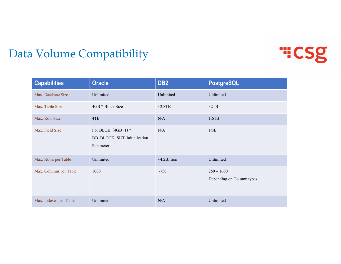## Data Volume Compatibility

| <b>Capabilities</b>    | <b>Oracle</b>                                                        | DB <sub>2</sub>    | <b>PostgreSQL</b>                         |
|------------------------|----------------------------------------------------------------------|--------------------|-------------------------------------------|
| Max. Database Size     | Unlimited                                                            | Unlimited          | Unlimited                                 |
| Max. Table Size        | 4GB * Block Size                                                     | $\sim2.8TB$        | 32TB                                      |
| Max. Row Size          | 4TB                                                                  | N/A                | 1.6TB                                     |
| Max, Field Size        | For BLOB: $(4GB - 1)$ *<br>DB_BLOCK_SIZE Initialization<br>Parameter | N/A                | 1GB                                       |
| Max. Rows per Table    | Unlimited                                                            | $~\sim$ 4.2Billion | Unlimited                                 |
| Max. Columns per Table | 1000                                                                 | $~1$ –750          | $250 - 1600$<br>Depending on Column types |
| Max. Indexes per Table | Unlimited                                                            | N/A                | Unlimited                                 |

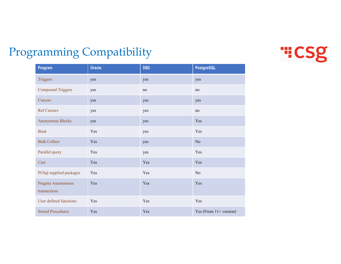## Programming Compatibility

| Program                  | <b>Oracle</b> | DB <sub>2</sub> | PostgreSQL               |
|--------------------------|---------------|-----------------|--------------------------|
| <b>Triggers</b>          | yes           | yes             | yes                      |
| <b>Compound Triggers</b> | yes           | no              | no                       |
| Cursors                  | yes           | yes             | yes                      |
| <b>Ref Cursors</b>       | yes           | yes             | no                       |
| Anonymous Blocks         | yes           | yes             | Yes                      |
| <b>Bind</b>              | Yes           | yes             | Yes                      |
| <b>Bulk Collect</b>      | Yes           | yes             | No                       |
| Parallel query           | Yes           | yes             | Yes                      |
| Cast                     | Yes           | Yes             | Yes                      |
| Pl/Sql supplied packages | Yes           | Yes             | No                       |
| Pragma Autonomous        | Yes           | Yes             | Yes                      |
| transactions             |               |                 |                          |
| User defined functions   | Yes           | Yes             | Yes                      |
| <b>Stored Procedures</b> | Yes           | Yes             | Yes (From $11+$ version) |

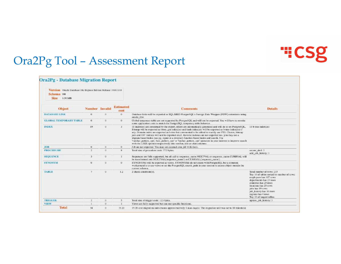# **"CSg**

## **Ora2Pg Tool - Assessment Report**

| Version Oracle Dambase 18c Express Edition Release 180000<br>Schema HR<br>Size<br>1.56 MB |                     |                |                 |                                                                                                                                                                                                                                                                                                                                                                                                                                                                                                                                                                                                                                                                                                                                  |                                                                                                                                                                                                                                                                                   |
|-------------------------------------------------------------------------------------------|---------------------|----------------|-----------------|----------------------------------------------------------------------------------------------------------------------------------------------------------------------------------------------------------------------------------------------------------------------------------------------------------------------------------------------------------------------------------------------------------------------------------------------------------------------------------------------------------------------------------------------------------------------------------------------------------------------------------------------------------------------------------------------------------------------------------|-----------------------------------------------------------------------------------------------------------------------------------------------------------------------------------------------------------------------------------------------------------------------------------|
| <b>Object</b><br>Number Invalid<br>cost                                                   |                     | Estimated      | <b>Comments</b> | <b>Details</b>                                                                                                                                                                                                                                                                                                                                                                                                                                                                                                                                                                                                                                                                                                                   |                                                                                                                                                                                                                                                                                   |
| <b>DATABASE LINK</b>                                                                      | o                   | $\alpha$       | 0               | Database links will be exported as SQL/MED PostgreSQL's Foreign Data Wrapper (FDW) extensions using<br>omete fdw.                                                                                                                                                                                                                                                                                                                                                                                                                                                                                                                                                                                                                |                                                                                                                                                                                                                                                                                   |
| <b>GLOBAL TEMPORARY TABLE</b>                                                             | $\Omega$            | $\overline{a}$ | $\alpha$        | Global temporary table are not supported by PostgreSQL and will not be exported. You will have to rewrite<br>some application code to match the PostgreSQL temporary table behavior.                                                                                                                                                                                                                                                                                                                                                                                                                                                                                                                                             |                                                                                                                                                                                                                                                                                   |
| <b>INDEX</b>                                                                              | 19.                 | $\mathbf{u}$   | 31              | 11 index(es) are concerned by the export, others are automatically generated and will do so on PostgreSQL.<br>Bitmap will be exported as btree-gin index(es) and hash index(es) will be exported as b-tree index(es) if<br>any. Domain index are exported as b-tree but commented to be edited to mainly use FTS. Cluster, bitmap<br>join and IOT indexes will not be exported at all. Reverse indexes are not exported too, you may use a<br>trigram-based index (see pg -trem) or a reverse() function based index and search. Use<br>"varchar pattern ups', 'text pattern ups' in 'bpchar pattern ops' operators in your indexes to improve search<br>with the LIKE operator respectively into varchar, text or char columns. | II b-tree index(es)                                                                                                                                                                                                                                                               |
| JOB                                                                                       | $\ddot{\mathbf{0}}$ | o.             | Ü.              | Job are not exported. You may set external cron job with them.                                                                                                                                                                                                                                                                                                                                                                                                                                                                                                                                                                                                                                                                   |                                                                                                                                                                                                                                                                                   |
| <b>PROCEDURE</b>                                                                          | $\mathcal{F}$       | $\Omega$       | 8 <sub>1</sub>  | Total size of procedure code: 772 bytes.                                                                                                                                                                                                                                                                                                                                                                                                                                                                                                                                                                                                                                                                                         | secure drol: 3<br>add_job_history: 3                                                                                                                                                                                                                                              |
| <b>SEQUENCE</b>                                                                           | 3.                  | $\Omega$       | ш               | Sequences are fully supported, but all call to sequence_name.NEXTVAL or sequence_name.CURRVAL will<br>be transformed into NEXTVALI'sequence_name') or CURRVALI'sequence_name').                                                                                                                                                                                                                                                                                                                                                                                                                                                                                                                                                  |                                                                                                                                                                                                                                                                                   |
| <b>SYNONYM</b>                                                                            | $\sigma$            | 0              | 0               | SYNONYMs will be exported as views. SYNONYMs do not exists with PostgreSQL but a common<br>workground is to use views or set the PostgreSOL search path in your session to access object outside the<br>current schema.                                                                                                                                                                                                                                                                                                                                                                                                                                                                                                          |                                                                                                                                                                                                                                                                                   |
| <b>TABLE</b>                                                                              | Ŧ.                  | U              | 1.2             | 2 check constraint(s).                                                                                                                                                                                                                                                                                                                                                                                                                                                                                                                                                                                                                                                                                                           | Total number of rows: 215<br>Top 10 of tables sorted by number of rows:<br>employees has 107 rows.<br>departments has 27 rows<br>countries has 25 rows<br>locations has 23 rows.<br>jobs has 19 rows<br>job_history has 10 mws<br>regions has 4 rows<br>Top 10 of largest tables: |
| <b>TRIGGER</b>                                                                            | $\mathbf{z}$        | $\Omega$       | $\mathcal{I}$   | Total size of trigger code: 123 bytes.                                                                                                                                                                                                                                                                                                                                                                                                                                                                                                                                                                                                                                                                                           | update_job_history: 3                                                                                                                                                                                                                                                             |
| <b>VIEW</b>                                                                               |                     | n              | T.              | Views are fully supported but can use specific functions.                                                                                                                                                                                                                                                                                                                                                                                                                                                                                                                                                                                                                                                                        |                                                                                                                                                                                                                                                                                   |
| Total                                                                                     | 34                  | n.             | 19.20           | 19.20 cost migration units means approximatively 1 man-day(s). The migration unit was set to 10 minute(s)                                                                                                                                                                                                                                                                                                                                                                                                                                                                                                                                                                                                                        |                                                                                                                                                                                                                                                                                   |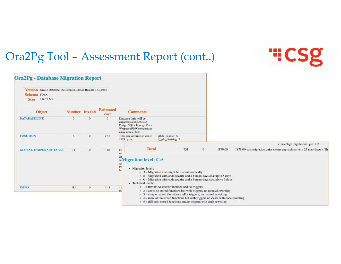### Ora2Pg Tool - Assessment Report (cont..)

# **HCSg**

| Version Oracle Database 18c Express Edition Release 18 0 0.0.0<br>Schema FO3X<br>139.25 MB<br><b>Size</b> |              |              |                          |                                                                                                                             |                                                                                                                                                                                                                                                                                                                                                                                               |          |         |                                                                      |
|-----------------------------------------------------------------------------------------------------------|--------------|--------------|--------------------------|-----------------------------------------------------------------------------------------------------------------------------|-----------------------------------------------------------------------------------------------------------------------------------------------------------------------------------------------------------------------------------------------------------------------------------------------------------------------------------------------------------------------------------------------|----------|---------|----------------------------------------------------------------------|
| Object                                                                                                    | Number       | Invalid      | <b>Estimated</b><br>cost | <b>Comments</b>                                                                                                             |                                                                                                                                                                                                                                                                                                                                                                                               |          |         |                                                                      |
| <b>DATABASE LINK</b>                                                                                      | ø            | o            | $\mathbf{0}$             | Database links will be<br>exported as SQL/MED<br>PostgreSQL's Foreign Data<br>Wrapper (FDW) extensions<br>using oracle fdw. |                                                                                                                                                                                                                                                                                                                                                                                               |          |         |                                                                      |
| <b>FUNCTION</b>                                                                                           | 4            | $\theta$     | 27.8                     | Total size of function code:<br>1928 bytes.                                                                                 | platz counter: 5<br>f pda dirstring: 3                                                                                                                                                                                                                                                                                                                                                        |          |         |                                                                      |
|                                                                                                           |              |              |                          |                                                                                                                             |                                                                                                                                                                                                                                                                                                                                                                                               |          |         | v_wichtige_ergebnisse_ger: 1.2                                       |
| <b>GLOBAL TEMPORARY TABLE</b>                                                                             | $\mathbf{H}$ | $\theta$     | 110                      | <b>Total</b><br>G<br>wMigration level: C-5<br>Po<br>• Migration levels:<br>· Technical levels:                              | 731<br><sup>o</sup> A - Migration that might be run automatically<br>• B - Migration with code rewrite and a human-days cost up to 5 days<br>• C - Migration with code rewrite and a human-days cost above 5 days                                                                                                                                                                             | $\theta$ | 1879.00 | 1879.00 cost migration units means approximatively 23 man-day(s), Th |
| <b>INDEX</b>                                                                                              | 112          | $\mathbf{0}$ | 11.3                     |                                                                                                                             | $\circ$ 1 = trivial: no stored functions and no triggers<br>$\circ$ 2 = casy: no stored functions but with triggers, no manual rewriting<br>$\circ$ 3 = simple: stored functions and/or triggers, no manual rewriting<br>$\circ$ 4 = manual; no stored functions but with triggers or views with code rewriting<br>$\circ$ 5 = difficult stored functions and/or triggers with code rewriting |          |         |                                                                      |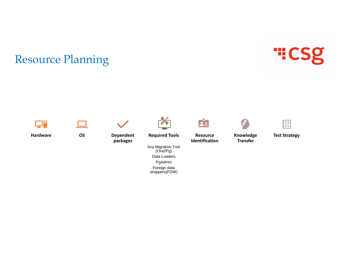### Resource Planning



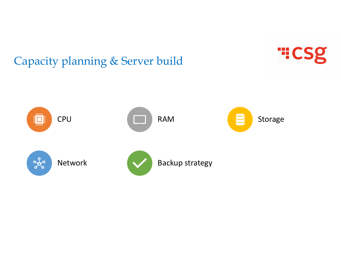# Capacity planning & Server build



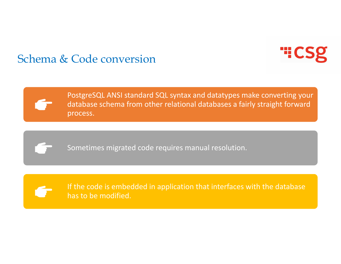

#### Schema & Code conversion



PostgreSQL ANSI standard SQL syntax and datatypes make converting your database schema from other relational databases a fairly straight forward process.



Sometimes migrated code requires manual resolution.



If the code is embedded in application that interfaces with the database has to be modified.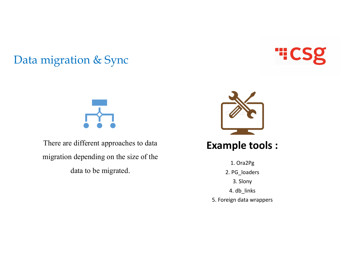### Data migration & Sync



There are different approaches to data migration depending on the size of the data to be migrated.



"H

#### **Example tools :**

- 1. Ora2Pg
- 2. PG\_loaders
	- 3. Slony
- 4. db\_links
- 5. Foreign data wrappers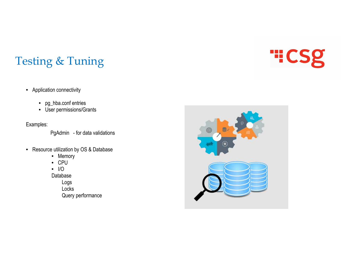## Testing & Tuning

- Application connectivity
	- pg\_hba.conf entries
	- User permissions/Grants

Examples:

PgAdmin - for data validations

- Resource utilization by OS & Database
	- Memory
	- CPU
	- I/O

 Database Logs

- Locks
- Query performance



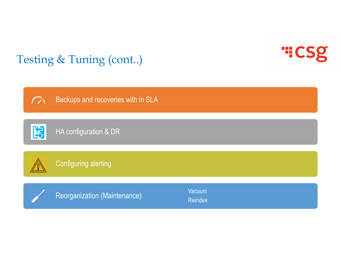

# Testing & Tuning (cont..)



 $\mathcal{C}$ 

HA configuration & DR

Backups and recoveries with in SLA



Configuring alerting



Reorganization (Maintenance)

Vacuum Reindex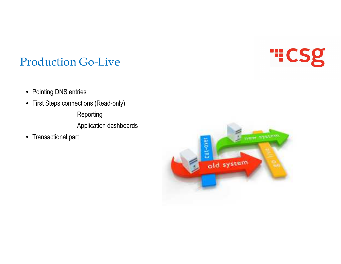#### Production Go-Live

- Pointing DNS entries
- First Steps connections (Read-only)

**Reporting** Application dashboards

• Transactional part



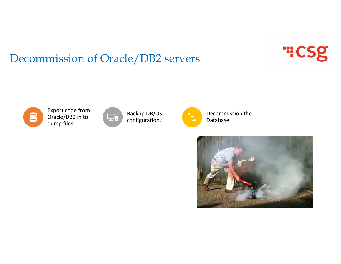## Decommission of Oracle/DB2 servers



Export code from Oracle/DB2 in to dump files.



Backup DB/OS configuration.



Decommission the Database.



"IC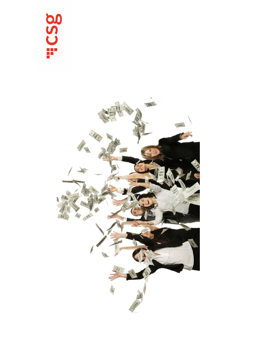